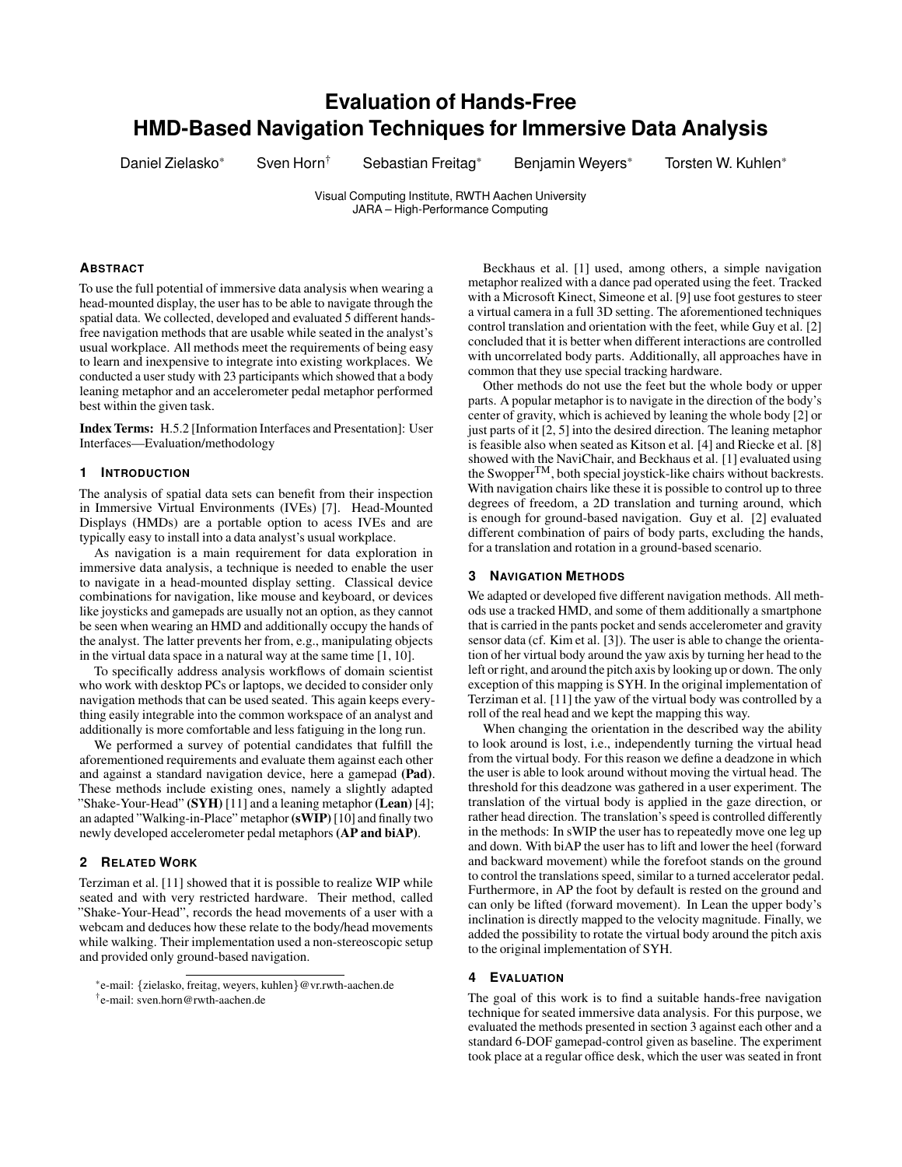# **Evaluation of Hands-Free HMD-Based Navigation Techniques for Immersive Data Analysis**

Daniel Zielasko\* Sven Horn<sup>†</sup> Sebastian Freitag\* Benjamin Weyers\* Torsten W. Kuhlen\*

Visual Computing Institute, RWTH Aachen University JARA – High-Performance Computing

# **ABSTRACT**

To use the full potential of immersive data analysis when wearing a head-mounted display, the user has to be able to navigate through the spatial data. We collected, developed and evaluated 5 different handsfree navigation methods that are usable while seated in the analyst's usual workplace. All methods meet the requirements of being easy to learn and inexpensive to integrate into existing workplaces. We conducted a user study with 23 participants which showed that a body leaning metaphor and an accelerometer pedal metaphor performed best within the given task.

Index Terms: H.5.2 [Information Interfaces and Presentation]: User Interfaces—Evaluation/methodology

## **1 INTRODUCTION**

The analysis of spatial data sets can benefit from their inspection in Immersive Virtual Environments (IVEs) [7]. Head-Mounted Displays (HMDs) are a portable option to acess IVEs and are typically easy to install into a data analyst's usual workplace.

As navigation is a main requirement for data exploration in immersive data analysis, a technique is needed to enable the user to navigate in a head-mounted display setting. Classical device combinations for navigation, like mouse and keyboard, or devices like joysticks and gamepads are usually not an option, as they cannot be seen when wearing an HMD and additionally occupy the hands of the analyst. The latter prevents her from, e.g., manipulating objects in the virtual data space in a natural way at the same time [1, 10].

To specifically address analysis workflows of domain scientist who work with desktop PCs or laptops, we decided to consider only navigation methods that can be used seated. This again keeps everything easily integrable into the common workspace of an analyst and additionally is more comfortable and less fatiguing in the long run.

We performed a survey of potential candidates that fulfill the aforementioned requirements and evaluate them against each other and against a standard navigation device, here a gamepad (Pad). These methods include existing ones, namely a slightly adapted "Shake-Your-Head" (SYH) [11] and a leaning metaphor (Lean) [4]; an adapted "Walking-in-Place" metaphor (sWIP)[10] and finally two newly developed accelerometer pedal metaphors (AP and biAP).

#### **2 RELATED WORK**

Terziman et al. [11] showed that it is possible to realize WIP while seated and with very restricted hardware. Their method, called "Shake-Your-Head", records the head movements of a user with a webcam and deduces how these relate to the body/head movements while walking. Their implementation used a non-stereoscopic setup and provided only ground-based navigation.

Beckhaus et al. [1] used, among others, a simple navigation metaphor realized with a dance pad operated using the feet. Tracked with a Microsoft Kinect, Simeone et al. [9] use foot gestures to steer a virtual camera in a full 3D setting. The aforementioned techniques control translation and orientation with the feet, while Guy et al. [2] concluded that it is better when different interactions are controlled with uncorrelated body parts. Additionally, all approaches have in common that they use special tracking hardware.

Other methods do not use the feet but the whole body or upper parts. A popular metaphor is to navigate in the direction of the body's center of gravity, which is achieved by leaning the whole body [2] or just parts of it [2, 5] into the desired direction. The leaning metaphor is feasible also when seated as Kitson et al. [4] and Riecke et al. [8] showed with the NaviChair, and Beckhaus et al. [1] evaluated using the Swopper<sup>TM</sup>, both special joystick-like chairs without backrests. With navigation chairs like these it is possible to control up to three degrees of freedom, a 2D translation and turning around, which is enough for ground-based navigation. Guy et al. [2] evaluated different combination of pairs of body parts, excluding the hands, for a translation and rotation in a ground-based scenario.

# **3 NAVIGATION METHODS**

We adapted or developed five different navigation methods. All methods use a tracked HMD, and some of them additionally a smartphone that is carried in the pants pocket and sends accelerometer and gravity sensor data (cf. Kim et al. [3]). The user is able to change the orientation of her virtual body around the yaw axis by turning her head to the left or right, and around the pitch axis by looking up or down. The only exception of this mapping is SYH. In the original implementation of Terziman et al. [11] the yaw of the virtual body was controlled by a roll of the real head and we kept the mapping this way.

When changing the orientation in the described way the ability to look around is lost, i.e., independently turning the virtual head from the virtual body. For this reason we define a deadzone in which the user is able to look around without moving the virtual head. The threshold for this deadzone was gathered in a user experiment. The translation of the virtual body is applied in the gaze direction, or rather head direction. The translation's speed is controlled differently in the methods: In sWIP the user has to repeatedly move one leg up and down. With biAP the user has to lift and lower the heel (forward and backward movement) while the forefoot stands on the ground to control the translations speed, similar to a turned accelerator pedal. Furthermore, in AP the foot by default is rested on the ground and can only be lifted (forward movement). In Lean the upper body's inclination is directly mapped to the velocity magnitude. Finally, we added the possibility to rotate the virtual body around the pitch axis to the original implementation of SYH.

## **4 EVALUATION**

The goal of this work is to find a suitable hands-free navigation technique for seated immersive data analysis. For this purpose, we evaluated the methods presented in section 3 against each other and a standard 6-DOF gamepad-control given as baseline. The experiment took place at a regular office desk, which the user was seated in front

<sup>\*</sup>e-mail: {zielasko, freitag, weyers, kuhlen}@vr.rwth-aachen.de

<sup>†</sup> e-mail: sven.horn@rwth-aachen.de